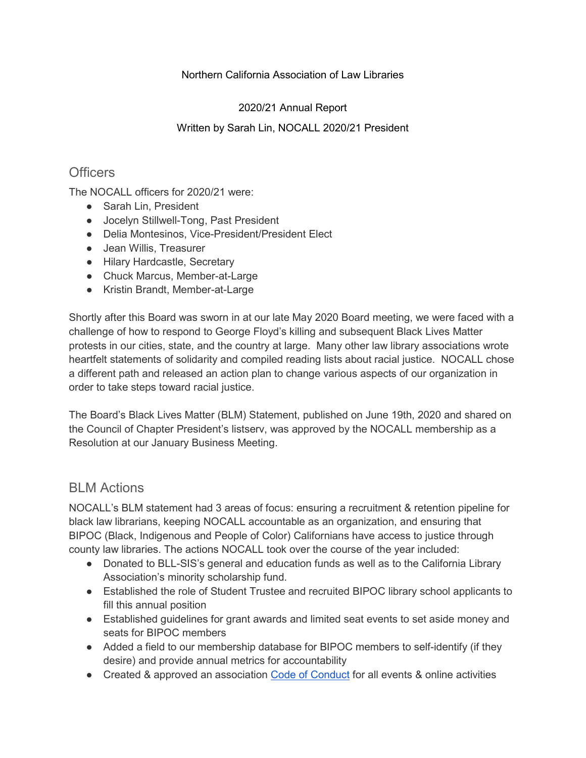#### Northern California Association of Law Libraries

### 2020/21 Annual Report

### Written by Sarah Lin, NOCALL 2020/21 President

## **Officers**

The NOCALL officers for 2020/21 were:

- Sarah Lin, President
- Jocelyn Stillwell-Tong, Past President
- Delia Montesinos, Vice-President/President Elect
- Jean Willis, Treasurer
- Hilary Hardcastle, Secretary
- Chuck Marcus, Member-at-Large
- Kristin Brandt, Member-at-Large

Shortly after this Board was sworn in at our late May 2020 Board meeting, we were faced with a challenge of how to respond to George Floyd's killing and subsequent Black Lives Matter protests in our cities, state, and the country at large. Many other law library associations wrote heartfelt statements of solidarity and compiled reading lists about racial justice. NOCALL chose a different path and released an action plan to change various aspects of our organization in order to take steps toward racial justice.

The Board's Black Lives Matter (BLM) Statement, published on June 19th, 2020 and shared on the Council of Chapter President's listserv, was approved by the NOCALL membership as a Resolution at our January Business Meeting.

## BLM Actions

NOCALL's BLM statement had 3 areas of focus: ensuring a recruitment & retention pipeline for black law librarians, keeping NOCALL accountable as an organization, and ensuring that BIPOC (Black, Indigenous and People of Color) Californians have access to justice through county law libraries. The actions NOCALL took over the course of the year included:

- Donated to BLL-SIS's general and education funds as well as to the California Library Association's minority scholarship fund.
- Established the role of Student Trustee and recruited BIPOC library school applicants to fill this annual position
- Established guidelines for grant awards and limited seat events to set aside money and seats for BIPOC members
- Added a field to our membership database for BIPOC members to self-identify (if they desire) and provide annual metrics for accountability
- Created & approved an association [Code of Conduct](https://nocall.org/about/the-nocall-code-of-conduct/) for all events & online activities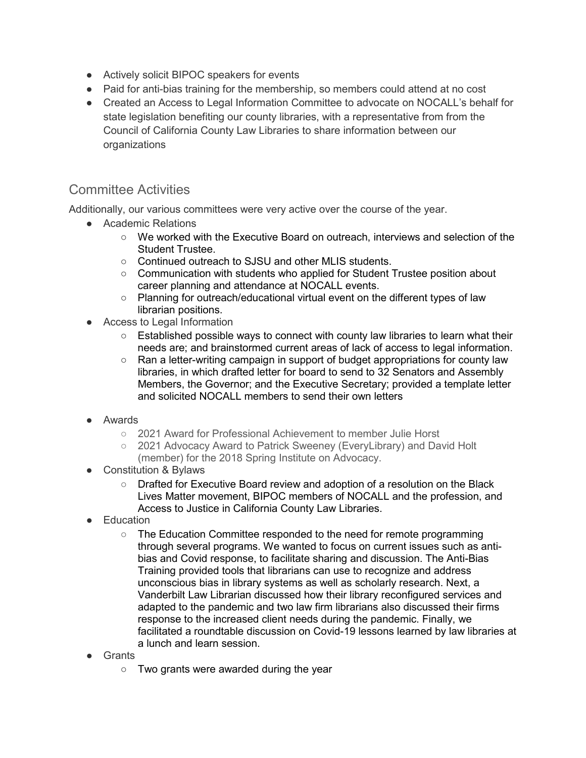- Actively solicit BIPOC speakers for events
- Paid for anti-bias training for the membership, so members could attend at no cost
- Created an Access to Legal Information Committee to advocate on NOCALL's behalf for state legislation benefiting our county libraries, with a representative from from the Council of California County Law Libraries to share information between our organizations

# Committee Activities

Additionally, our various committees were very active over the course of the year.

- Academic Relations
	- We worked with the Executive Board on outreach, interviews and selection of the Student Trustee.
	- Continued outreach to SJSU and other MLIS students.
	- Communication with students who applied for Student Trustee position about career planning and attendance at NOCALL events.
	- Planning for outreach/educational virtual event on the different types of law librarian positions.
- Access to Legal Information
	- $\circ$  Established possible ways to connect with county law libraries to learn what their needs are; and brainstormed current areas of lack of access to legal information.
	- Ran a letter-writing campaign in support of budget appropriations for county law libraries, in which drafted letter for board to send to 32 Senators and Assembly Members, the Governor; and the Executive Secretary; provided a template letter and solicited NOCALL members to send their own letters
- Awards
	- 2021 Award for Professional Achievement to member Julie Horst
	- 2021 Advocacy Award to Patrick Sweeney (EveryLibrary) and David Holt (member) for the 2018 Spring Institute on Advocacy.
- Constitution & Bylaws
	- Drafted for Executive Board review and adoption of a resolution on the Black Lives Matter movement, BIPOC members of NOCALL and the profession, and Access to Justice in California County Law Libraries.
- Education
	- The Education Committee responded to the need for remote programming through several programs. We wanted to focus on current issues such as antibias and Covid response, to facilitate sharing and discussion. The Anti-Bias Training provided tools that librarians can use to recognize and address unconscious bias in library systems as well as scholarly research. Next, a Vanderbilt Law Librarian discussed how their library reconfigured services and adapted to the pandemic and two law firm librarians also discussed their firms response to the increased client needs during the pandemic. Finally, we facilitated a roundtable discussion on Covid-19 lessons learned by law libraries at a lunch and learn session.
- **Grants** 
	- Two grants were awarded during the year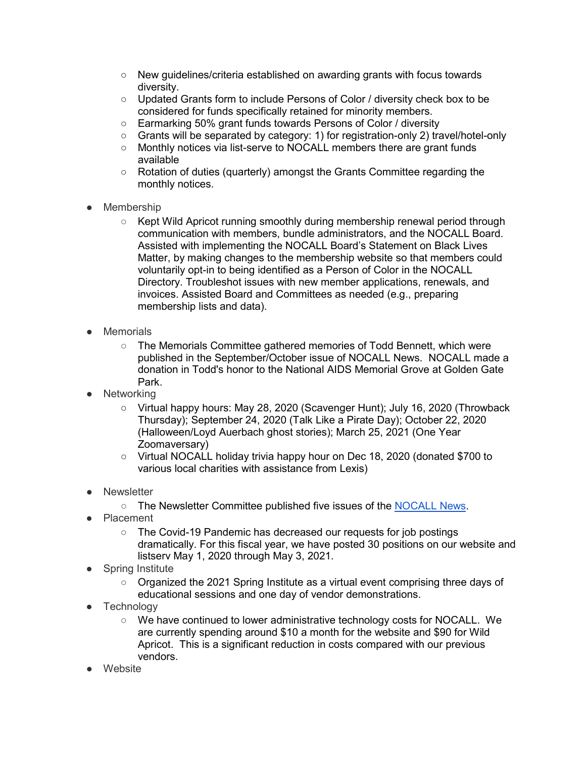- New guidelines/criteria established on awarding grants with focus towards diversity.
- Updated Grants form to include Persons of Color / diversity check box to be considered for funds specifically retained for minority members.
- Earmarking 50% grant funds towards Persons of Color / diversity
- Grants will be separated by category: 1) for registration-only 2) travel/hotel-only
- Monthly notices via list-serve to NOCALL members there are grant funds available
- Rotation of duties (quarterly) amongst the Grants Committee regarding the monthly notices.
- Membership
	- Kept Wild Apricot running smoothly during membership renewal period through communication with members, bundle administrators, and the NOCALL Board. Assisted with implementing the NOCALL Board's Statement on Black Lives Matter, by making changes to the membership website so that members could voluntarily opt-in to being identified as a Person of Color in the NOCALL Directory. Troubleshot issues with new member applications, renewals, and invoices. Assisted Board and Committees as needed (e.g., preparing membership lists and data).
- Memorials
	- The Memorials Committee gathered memories of Todd Bennett, which were published in the September/October issue of NOCALL News. NOCALL made a donation in Todd's honor to the National AIDS Memorial Grove at Golden Gate Park.
- **Networking** 
	- Virtual happy hours: May 28, 2020 (Scavenger Hunt); July 16, 2020 (Throwback Thursday); September 24, 2020 (Talk Like a Pirate Day); October 22, 2020 (Halloween/Loyd Auerbach ghost stories); March 25, 2021 (One Year Zoomaversary)
	- Virtual NOCALL holiday trivia happy hour on Dec 18, 2020 (donated \$700 to various local charities with assistance from Lexis)
- Newsletter
	- The Newsletter Committee published five issues of the [NOCALL News.](https://nocall.org/publicationsresources/news/nocall-news-archives/)
- Placement
	- The Covid-19 Pandemic has decreased our requests for job postings dramatically. For this fiscal year, we have posted 30 positions on our website and listserv May 1, 2020 through May 3, 2021.
- **Spring Institute** 
	- Organized the 2021 Spring Institute as a virtual event comprising three days of educational sessions and one day of vendor demonstrations.
- Technology
	- We have continued to lower administrative technology costs for NOCALL. We are currently spending around \$10 a month for the website and \$90 for Wild Apricot. This is a significant reduction in costs compared with our previous vendors.
- Website